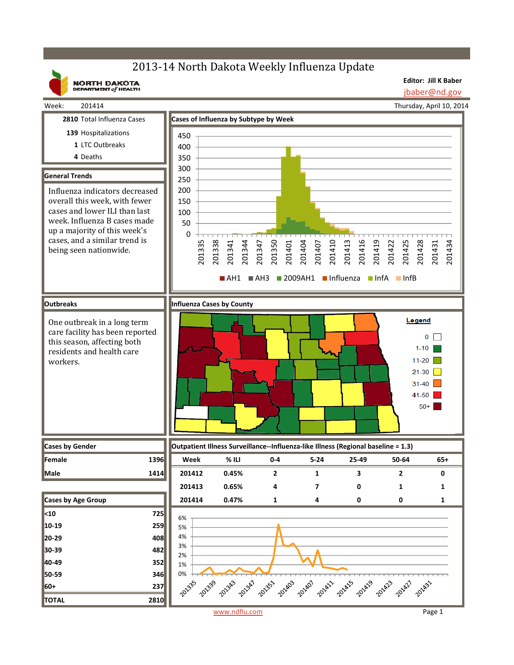# 2013-14 North Dakota Weekly Influenza Update

**NORTH DAKOTA**<br>DEPARTMENT of HEALTH

**Editor: Jill K Baber** jbaber@nd.gov